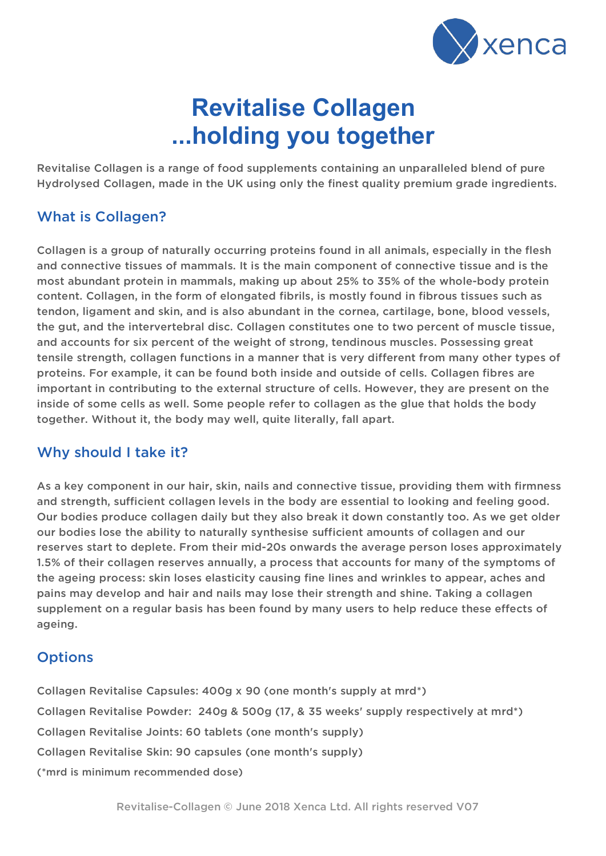

# **Revitalise Collagen ...holding you together**

Revitalise Collagen is a range of food supplements containing an unparalleled blend of pure Hydrolysed Collagen, made in the UK using only the finest quality premium grade ingredients.

### What is Collagen?

Collagen is a group of naturally occurring proteins found in all animals, especially in the flesh and connective tissues of mammals. It is the main component of connective tissue and is the most abundant protein in mammals, making up about 25% to 35% of the whole-body protein content. Collagen, in the form of elongated fibrils, is mostly found in fibrous tissues such as tendon, ligament and skin, and is also abundant in the cornea, cartilage, bone, blood vessels, the gut, and the intervertebral disc. Collagen constitutes one to two percent of muscle tissue, and accounts for six percent of the weight of strong, tendinous muscles. Possessing great tensile strength, collagen functions in a manner that is very different from many other types of proteins. For example, it can be found both inside and outside of cells. Collagen fibres are important in contributing to the external structure of cells. However, they are present on the inside of some cells as well. Some people refer to collagen as the glue that holds the body together. Without it, the body may well, quite literally, fall apart.

#### Why should I take it?

As a key component in our hair, skin, nails and connective tissue, providing them with firmness and strength, sufficient collagen levels in the body are essential to looking and feeling good. Our bodies produce collagen daily but they also break it down constantly too. As we get older our bodies lose the ability to naturally synthesise sufficient amounts of collagen and our reserves start to deplete. From their mid-20s onwards the average person loses approximately 1.5% of their collagen reserves annually, a process that accounts for many of the symptoms of the ageing process: skin loses elasticity causing fine lines and wrinkles to appear, aches and pains may develop and hair and nails may lose their strength and shine. Taking a collagen supplement on a regular basis has been found by many users to help reduce these effects of ageing.

# **Options**

Collagen Revitalise Capsules: 400g x 90 (one month's supply at mrd\*) Collagen Revitalise Powder: 240g & 500g (17, & 35 weeks' supply respectively at mrd\*) Collagen Revitalise Joints: 60 tablets (one month's supply) Collagen Revitalise Skin: 90 capsules (one month's supply) (\*mrd is minimum recommended dose)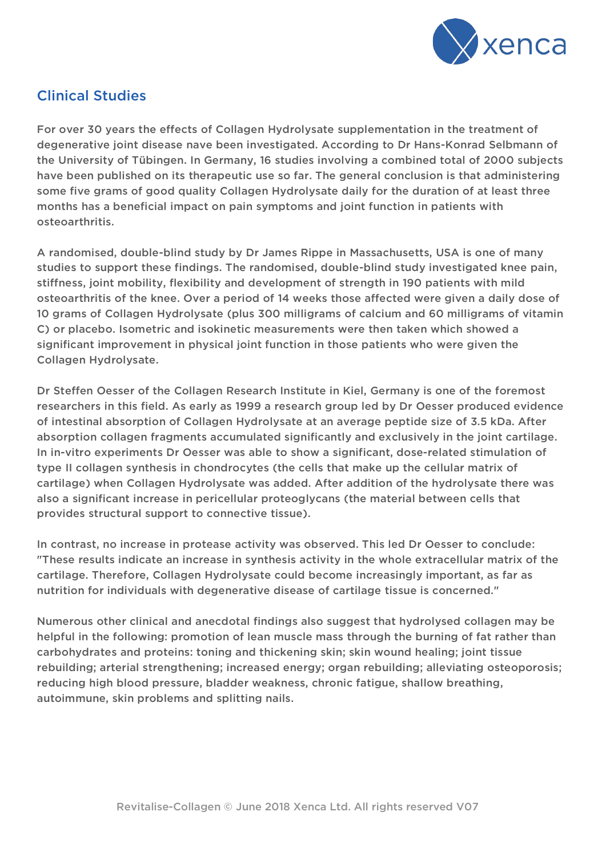

# Clinical Studies

For over 30 years the effects of Collagen Hydrolysate supplementation in the treatment of degenerative joint disease nave been investigated. According to Dr Hans-Konrad Selbmann of the University of Tübingen. In Germany, 16 studies involving a combined total of 2000 subjects have been published on its therapeutic use so far. The general conclusion is that administering some five grams of good quality Collagen Hydrolysate daily for the duration of at least three months has a beneficial impact on pain symptoms and joint function in patients with osteoarthritis.

A randomised, double-blind study by Dr James Rippe in Massachusetts, USA is one of many studies to support these findings. The randomised, double-blind study investigated knee pain, stiffness, joint mobility, flexibility and development of strength in 190 patients with mild osteoarthritis of the knee. Over a period of 14 weeks those affected were given a daily dose of 10 grams of Collagen Hydrolysate (plus 300 milligrams of calcium and 60 milligrams of vitamin C) or placebo. Isometric and isokinetic measurements were then taken which showed a significant improvement in physical joint function in those patients who were given the Collagen Hydrolysate.

Dr Steffen Oesser of the Collagen Research Institute in Kiel, Germany is one of the foremost researchers in this field. As early as 1999 a research group led by Dr Oesser produced evidence of intestinal absorption of Collagen Hydrolysate at an average peptide size of 3.5 kDa. After absorption collagen fragments accumulated significantly and exclusively in the joint cartilage. In in-vitro experiments Dr Oesser was able to show a significant, dose-related stimulation of type II collagen synthesis in chondrocytes (the cells that make up the cellular matrix of cartilage) when Collagen Hydrolysate was added. After addition of the hydrolysate there was also a significant increase in pericellular proteoglycans (the material between cells that provides structural support to connective tissue).

In contrast, no increase in protease activity was observed. This led Dr Oesser to conclude: "These results indicate an increase in synthesis activity in the whole extracellular matrix of the cartilage. Therefore, Collagen Hydrolysate could become increasingly important, as far as nutrition for individuals with degenerative disease of cartilage tissue is concerned."

Numerous other clinical and anecdotal findings also suggest that hydrolysed collagen may be helpful in the following: promotion of lean muscle mass through the burning of fat rather than carbohydrates and proteins: toning and thickening skin; skin wound healing; joint tissue rebuilding; arterial strengthening; increased energy; organ rebuilding; alleviating osteoporosis; reducing high blood pressure, bladder weakness, chronic fatigue, shallow breathing, autoimmune, skin problems and splitting nails.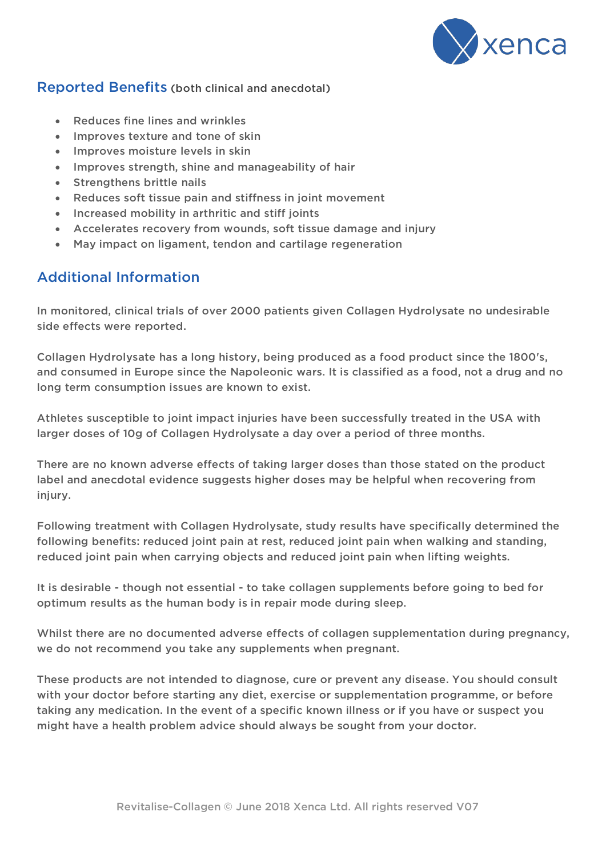

#### Reported Benefits (both clinical and anecdotal)

- Reduces fine lines and wrinkles
- Improves texture and tone of skin
- Improves moisture levels in skin
- Improves strength, shine and manageability of hair
- Strengthens brittle nails
- Reduces soft tissue pain and stiffness in joint movement
- Increased mobility in arthritic and stiff joints
- Accelerates recovery from wounds, soft tissue damage and injury
- May impact on ligament, tendon and cartilage regeneration

# Additional Information

In monitored, clinical trials of over 2000 patients given Collagen Hydrolysate no undesirable side effects were reported.

Collagen Hydrolysate has a long history, being produced as a food product since the 1800's, and consumed in Europe since the Napoleonic wars. It is classified as a food, not a drug and no long term consumption issues are known to exist.

Athletes susceptible to joint impact injuries have been successfully treated in the USA with larger doses of 10g of Collagen Hydrolysate a day over a period of three months.

There are no known adverse effects of taking larger doses than those stated on the product label and anecdotal evidence suggests higher doses may be helpful when recovering from injury.

Following treatment with Collagen Hydrolysate, study results have specifically determined the following benefits: reduced joint pain at rest, reduced joint pain when walking and standing, reduced joint pain when carrying objects and reduced joint pain when lifting weights.

It is desirable - though not essential - to take collagen supplements before going to bed for optimum results as the human body is in repair mode during sleep.

Whilst there are no documented adverse effects of collagen supplementation during pregnancy, we do not recommend you take any supplements when pregnant.

These products are not intended to diagnose, cure or prevent any disease. You should consult with your doctor before starting any diet, exercise or supplementation programme, or before taking any medication. In the event of a specific known illness or if you have or suspect you might have a health problem advice should always be sought from your doctor.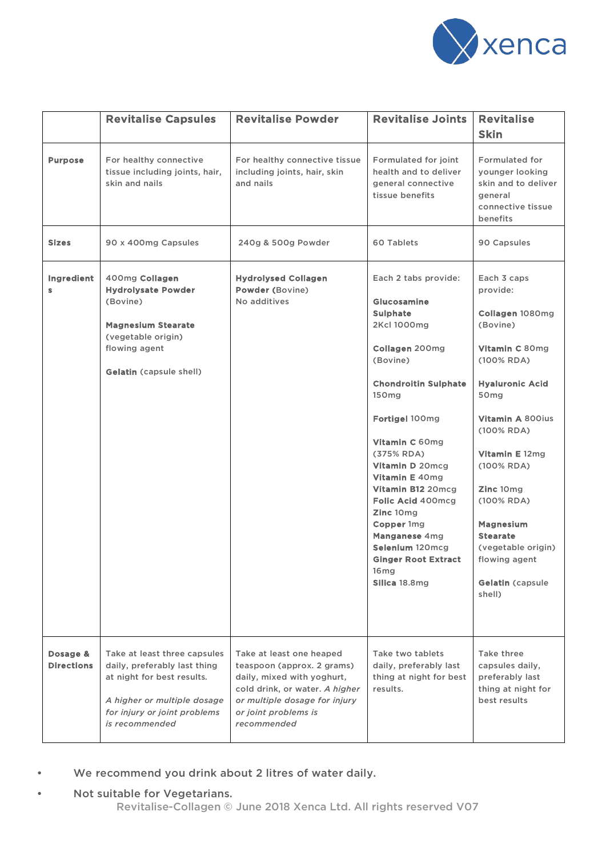

|                               | <b>Revitalise Capsules</b>                                                                                                                                                  | <b>Revitalise Powder</b>                                                                                                                                                                       | <b>Revitalise Joints</b>                                                                                                                                                                                                                                                                                                                                                                           | <b>Revitalise</b><br><b>Skin</b>                                                                                                                                                                                                                                                                                                                     |
|-------------------------------|-----------------------------------------------------------------------------------------------------------------------------------------------------------------------------|------------------------------------------------------------------------------------------------------------------------------------------------------------------------------------------------|----------------------------------------------------------------------------------------------------------------------------------------------------------------------------------------------------------------------------------------------------------------------------------------------------------------------------------------------------------------------------------------------------|------------------------------------------------------------------------------------------------------------------------------------------------------------------------------------------------------------------------------------------------------------------------------------------------------------------------------------------------------|
| <b>Purpose</b>                | For healthy connective<br>tissue including joints, hair,<br>skin and nails                                                                                                  | For healthy connective tissue<br>including joints, hair, skin<br>and nails                                                                                                                     | Formulated for joint<br>health and to deliver<br>general connective<br>tissue benefits                                                                                                                                                                                                                                                                                                             | <b>Formulated for</b><br>younger looking<br>skin and to deliver<br>general<br>connective tissue<br>benefits                                                                                                                                                                                                                                          |
| <b>Sizes</b>                  | 90 x 400mg Capsules                                                                                                                                                         | 240g & 500g Powder                                                                                                                                                                             | 60 Tablets                                                                                                                                                                                                                                                                                                                                                                                         | 90 Capsules                                                                                                                                                                                                                                                                                                                                          |
| Ingredient<br>S               | 400mg Collagen<br><b>Hydrolysate Powder</b><br>(Bovine)<br><b>Magnesium Stearate</b><br>(vegetable origin)<br>flowing agent<br><b>Gelatin (capsule shell)</b>               | <b>Hydrolysed Collagen</b><br>Powder (Bovine)<br>No additives                                                                                                                                  | Each 2 tabs provide:<br>Glucosamine<br><b>Sulphate</b><br>2Kcl 1000mg<br>Collagen 200mg<br>(Bovine)<br><b>Chondroitin Sulphate</b><br>150mg<br>Fortigel 100mg<br>Vitamin C 60mg<br>(375% RDA)<br>Vitamin D 20mcg<br>Vitamin E 40mg<br>Vitamin B12 20mcg<br>Folic Acid 400mcg<br>Zinc 10mg<br>Copper 1mg<br>Manganese 4mg<br>Selenium 120mcg<br><b>Ginger Root Extract</b><br>16mg<br>Silica 18.8mg | Each 3 caps<br>provide:<br>Collagen 1080mg<br>(Bovine)<br>Vitamin C 80mg<br>(100% RDA)<br><b>Hyaluronic Acid</b><br>50 <sub>mg</sub><br>Vitamin A 800ius<br>(100% RDA)<br><b>Vitamin E</b> 12mg<br>(100% RDA)<br>Zinc 10mg<br>(100% RDA)<br><b>Magnesium</b><br><b>Stearate</b><br>(vegetable origin)<br>flowing agent<br>Gelatin (capsule<br>shell) |
| Dosage &<br><b>Directions</b> | Take at least three capsules<br>daily, preferably last thing<br>at night for best results.<br>A higher or multiple dosage<br>for injury or joint problems<br>is recommended | Take at least one heaped<br>teaspoon (approx. 2 grams)<br>daily, mixed with yoghurt,<br>cold drink, or water. A higher<br>or multiple dosage for injury<br>or joint problems is<br>recommended | Take two tablets<br>daily, preferably last<br>thing at night for best<br>results.                                                                                                                                                                                                                                                                                                                  | Take three<br>capsules daily,<br>preferably last<br>thing at night for<br>best results                                                                                                                                                                                                                                                               |

- We recommend you drink about 2 litres of water daily.
- Not suitable for Vegetarians.
	- Revitalise-Collagen © June 2018 Xenca Ltd. All rights reserved V07